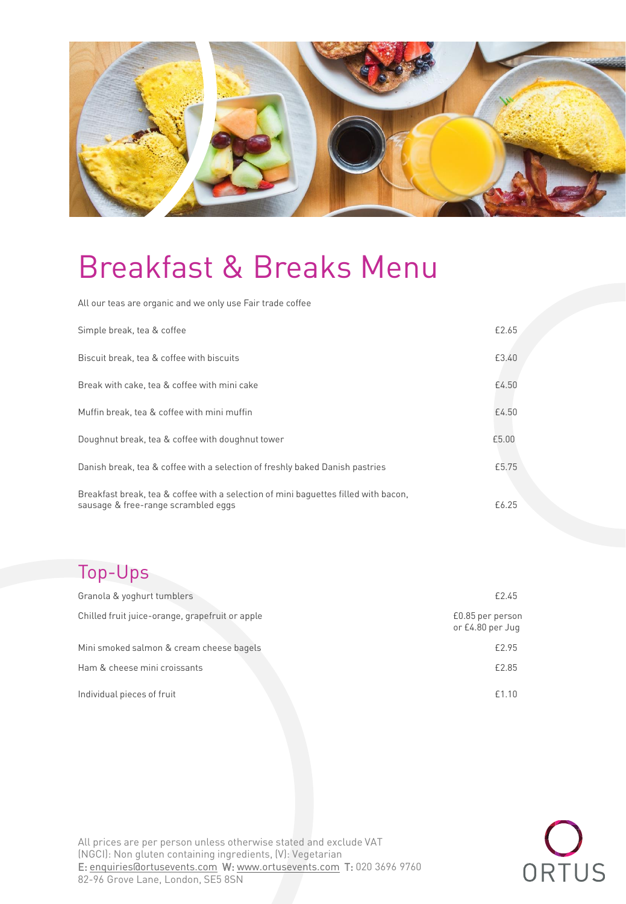

All our teas are organic and we only use Fair trade coffee

| Simple break, tea & coffee                                                                                                 | £2.65 |
|----------------------------------------------------------------------------------------------------------------------------|-------|
| Biscuit break, tea & coffee with biscuits                                                                                  | £3.40 |
| Break with cake, tea & coffee with mini cake                                                                               | £4.50 |
| Muffin break, tea & coffee with mini muffin                                                                                | £4.50 |
| Doughnut break, tea & coffee with doughnut tower                                                                           | £5.00 |
| Danish break, tea & coffee with a selection of freshly baked Danish pastries                                               | £5.75 |
| Breakfast break, tea & coffee with a selection of mini baguettes filled with bacon,<br>sausage & free-range scrambled eggs | £6.25 |

# Top-Ups

| Granola & yoghurt tumblers                      | £2.45                                |
|-------------------------------------------------|--------------------------------------|
| Chilled fruit juice-orange, grapefruit or apple | £0.85 per person<br>or £4.80 per Jug |
| Mini smoked salmon & cream cheese bagels        | £2.95                                |
| Ham & cheese mini croissants                    | £2.85                                |
| Individual pieces of fruit                      | £1.10                                |

All prices are per person unless otherwise stated and exclude VAT (NGCI): Non gluten containing ingredients, (V): Vegetarian E: enquiries dortusevents.com W: www.ortusevents.com T: 020 3696 9760  $\frac{1}{20}$  englished and  $\frac{1}{20}$  order SF5.85N  $\frac{1}{20}$ 82-96 Grove Lane, London, SE5 8SN

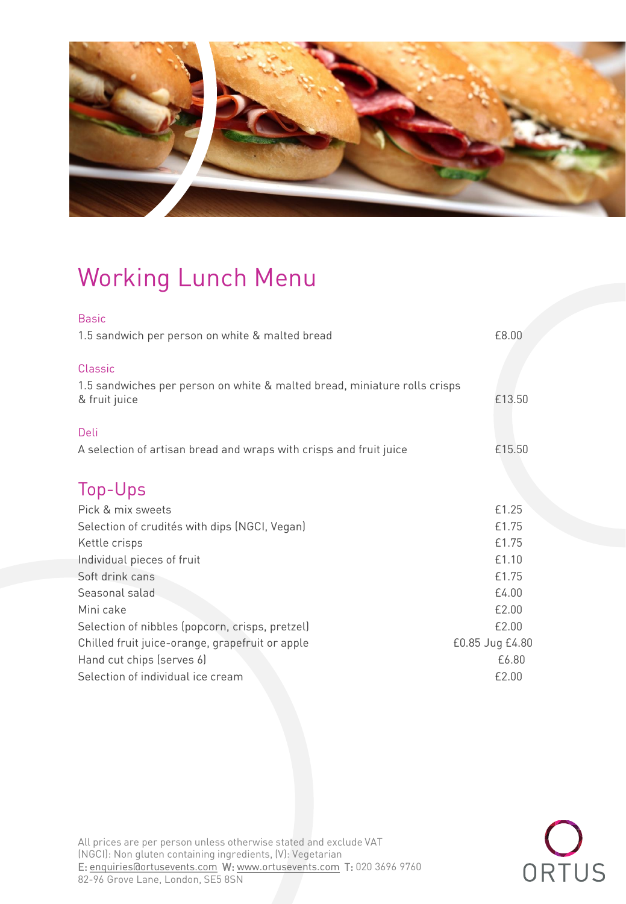

# Working Lunch Menu

| 1.5 sandwich per person on white & malted bread                                                              | £8.00  |
|--------------------------------------------------------------------------------------------------------------|--------|
| <b>Classic</b><br>1.5 sandwiches per person on white & malted bread, miniature rolls crisps<br>& fruit juice | £13.50 |
| Deli<br>A selection of artisan bread and wraps with crisps and fruit juice                                   | £15.50 |

# Top-Ups

| Pick & mix sweets                               | £1.25           |
|-------------------------------------------------|-----------------|
| Selection of crudités with dips (NGCI, Vegan)   | £1.75           |
| Kettle crisps                                   | £1.75           |
| Individual pieces of fruit                      | £1.10           |
| Soft drink cans                                 | £1.75           |
| Seasonal salad                                  | £4.00           |
| Mini cake                                       | £2.00           |
| Selection of nibbles (popcorn, crisps, pretzel) | £2.00           |
| Chilled fruit juice-orange, grapefruit or apple | £0.85 Jug £4.80 |
| Hand cut chips (serves 6)                       | £6.80           |
| Selection of individual ice cream               | £2.00           |
|                                                 |                 |



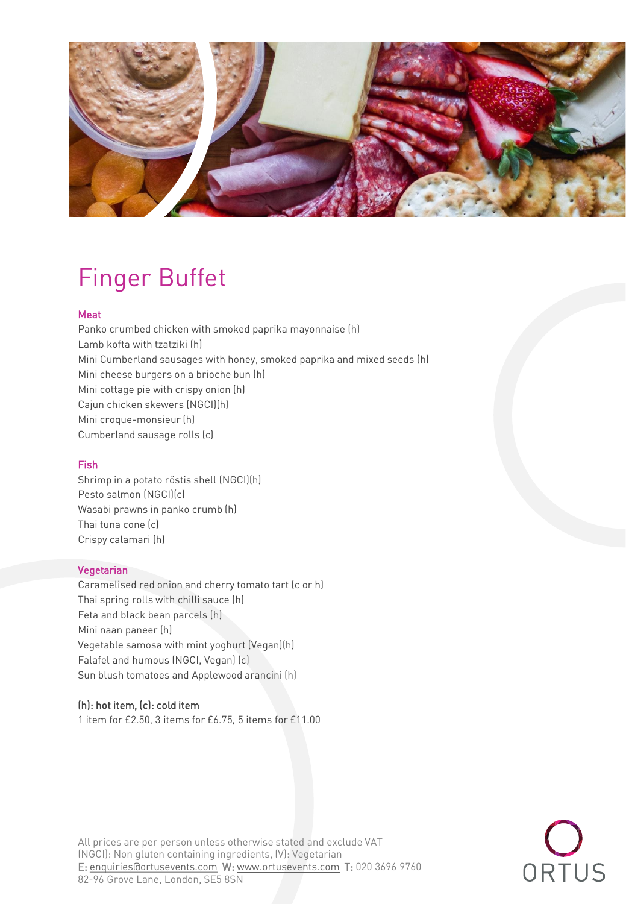

# Finger Buffet<br>Meat

Panko crumbed chicken with smoked paprika mayonnaise (h) Lamb kofta with tzatziki (h) Mini Cumberland sausages with honey, smoked paprika and mixed seeds (h) Mini cheese burgers on a brioche bun (h) Mini cottage pie with crispy onion (h) Cajun chicken skewers (NGCI)(h) Mini croque-monsieur (h) Mini croque-monsieur (h) cumberland sausage rolls (c) and containing the containing satus (c) and c) and c) are contained to contain the contain of the contain of the contain of the contain of the contain of the contain of the contain of the conta

Fish<br>Shrimp in a potato röstis shell (NGCI)(h) Pesto salmon (NGCI)(c) Wasabi prawns in panko crumb (h) Thai tuna cone (c) Crispy calamari (h) Crispy calamari (h)

Vegetarian<br>Caramelised red onion and cherry tomato tart (c or h) Thai spring rolls with chilli sauce (h) Feta and black bean parcels (h) Mini naan paneer (h) Vegetable samosa with mint yoghurt (Vegan)(h) Falafel and humous (NGCI, Vegan) (c) Falafel and humous (NGCI, Vegan) (c) Sun blush tomatoes and Applewood arancini (h)

(h): hot item, (c): cold item 1 item for £2.50, 3 item for £11.000 items for £11.000 items for £11.000 items for £11.000 items for £11.000 i



All prices are per person unless otherwise stated and exclude VAT<br>(NGCI): Non gluten containing ingredients, (V): Vegetarian E: enquiries@ortusevents.com W: www.ortusevents.com T: 020 3696 9760 82-96 Grove Lane, London, SE5 8SN 82-96 Grove Lane, London, SE5 8SN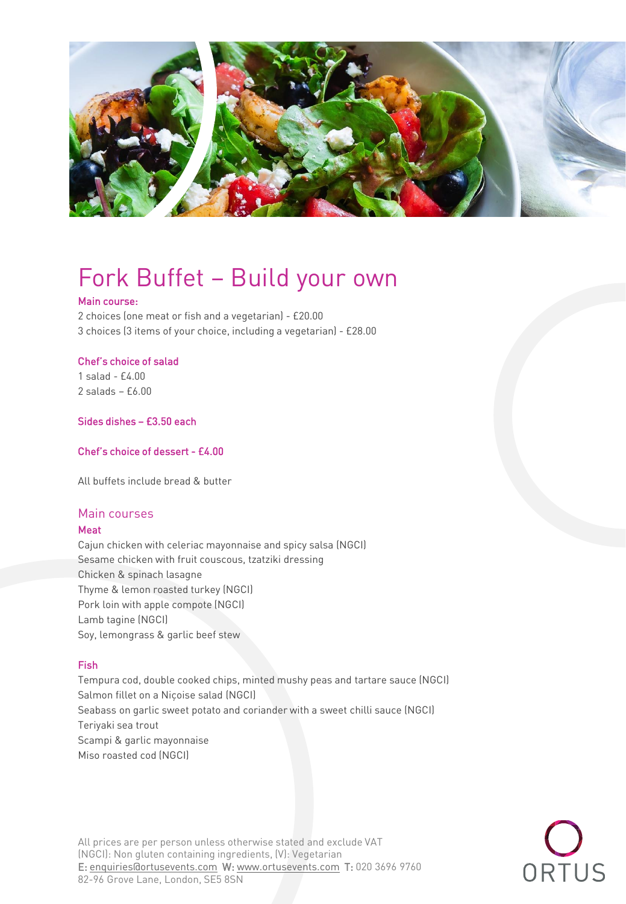

# Fork Buffet – Build your own

2 choices (one meat or fish and a vegetarian) - £20.00 2 choices (one meat or fish and a vegetarian) - £20.00  $\overline{3}$  items of your choices (3 items of your choice, including a vegetarian) -  $\overline{2}$ 

# Chef's choice of salad<br>1 salad - £4.00

 $2$  salads -  $£6.00$ 

Sides dishes – £3.50 each

Chef's choice of dessert - £4.00

# Main courses<br>Meat

Cajun chicken with celeriac mayonnaise and spicy salsa (NGCI) Sesame chicken with fruit couscous, tzatziki dressing Chicken & spinach lasagne Thyme & lemon roasted turkey (NGCI) Pork loin with apple compote (NGCI) Lamb tagine (NGCI) Lambertagine (NGC 21)<br>Carriera anno 2008 Soy, lemongrass & garlic beef stew

Fish<br>Tempura cod, double cooked chips, minted mushy peas and tartare sauce (NGCI) Salmon fillet on a Niçoise salad (NGCI) salmon fillet on a Niçoise salad (NGCI)<br>Costesse sa asalis succet a thete salt so Seabass on garlic sweet potato and coriander with a sweet children with a sweet children with a sweet children<br>The sweet children with a sweet children with a sweet children with a sweet children with a sweet children wit Teriyaki sea trout<br>Scampi & garlic mayonnaise Miso roasted cod (NGCI) Miso roasted cod (NGCI)

All prices are per person unless otherwise stated and exclude VAT<br>(NGCI): Non gluten containing ingredients, (V): Vegetarian E: enquiries@ortusevents.com W: www.ortusevents.com T: 020 3696 9760 82-96 Grove Lane, London, SE5 8SN 82-96 Grove Lane, London, SE5 8SN

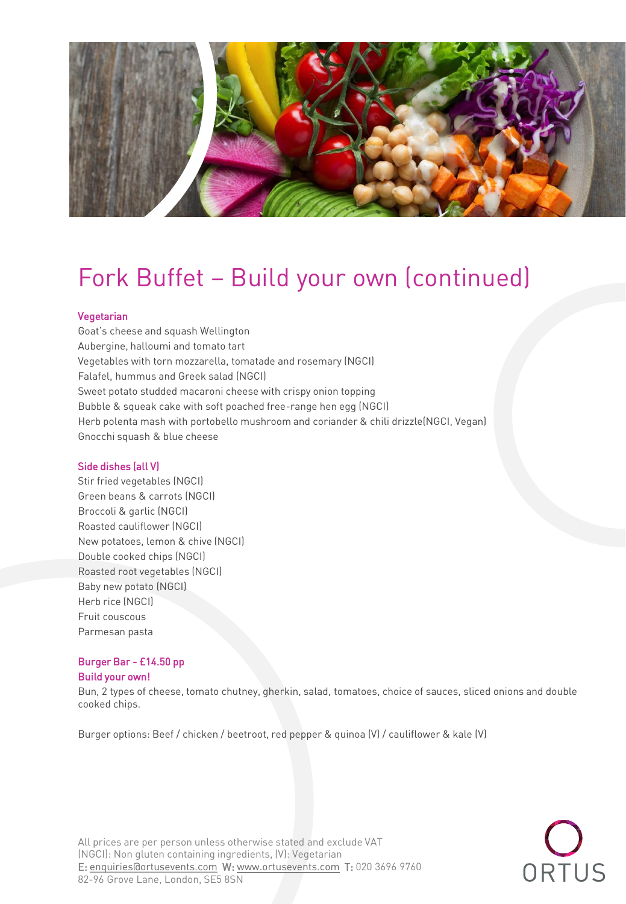

# Fork Buffet – Build your own (continued)<br>Vegetarian

Goat's cheese and squash Wellington Aubergine, halloumi and tomato tart Vegetables with torn mozzarella, tomatade and rosemary (NGCI) Falafel, hummus and Greek salad (NGCI) Sweet potato studded macaroni cheese with crispy onion topping Bubble & squeak cake with soft poached free-range hen egg (NGCI) Herb polenta mash with portobello mushroom and coriander & chili drizzle(NGCI, Vegan) Gnocchi squash & blue cheese Gnocchi squash & blue cheese

Side dishes (all V)<br>Stir fried vegetables (NGCI) Green beans & carrots (NGCI) Broccoli & garlic (NGCI) Roasted cauliflower (NGCI) New potatoes, lemon & chive (NGCI) Double cooked chips (NGCI) Roasted root vegetables (NGCI) Baby new potato (NGCI) Herb rice (NGCI) Fruit couscous Fruit couscous Parmesan pasta

# Burger Bar - £14.50 pp

Build your owner.<br>Build Advised of Bun, 2 types of cheese, tomato champing, gherkin, salad, tomatoes, choice of sauces, sliced onions and double<br>Cooked chine cooked chips.

Burger options: Beef / chicken / beetroot, red pepper & quinoa (V) / cauliflower & kale (V)



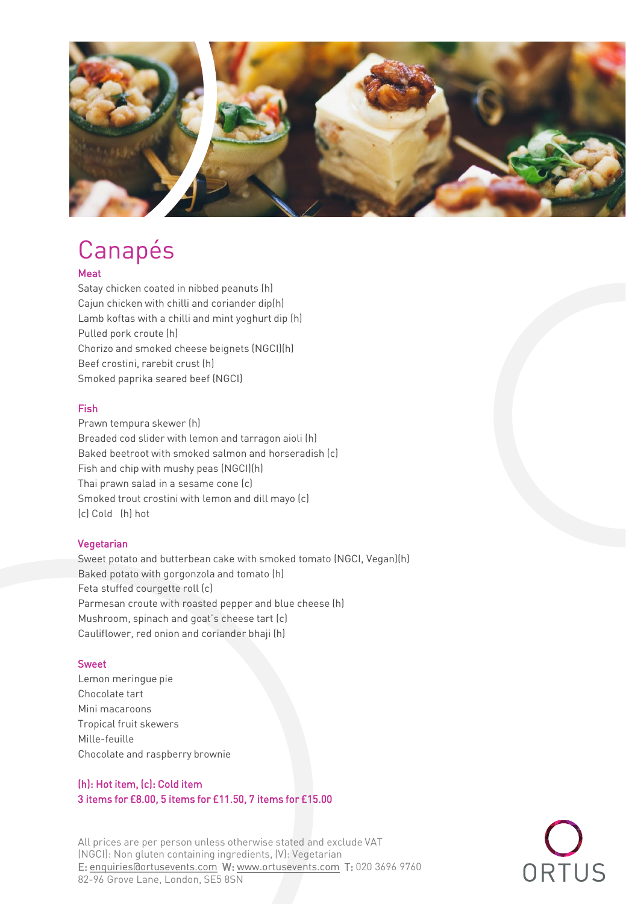

# Canapés

Satay chicken coated in nibbed peanuts (h) Cajun chicken with chilli and coriander dip(h) Lamb koftas with a chilli and mint yoghurt dip (h) Pulled pork croute (h) Chorizo and smoked cheese beignets (NGCI)(h) Beef crostini, rarebit crust (h) Beef crostini, rarebit crust (h)<br>Gweliod weedlie crewed beef f Smoked paprika seared beef (NGCI)

# **Fish**

Prawn tempura skewer (h) Breaded cod slider with lemon and tarragon aioli (h) Baked beetroot with smoked salmon and horseradish (c) Fish and chip with mushy peas (NGCI)(h) Thai prawn salad in a sesame cone (c) Smoked trout crostini with lemon and dill mayo (c) (c) Cold (h) hot  $\mathcal{C}$  cold (h) hotel (h) hotel (h) hotel (h) hotel (h) hotel (h) hotel (h) hotel (h) hotel (h) hotel (h) hotel (h) hotel (h) hotel (h) hotel (h) hotel (h) hotel (h) hotel (h) hotel (h) hotel (h) hotel (h) hotel (h) hot

Vegetarian<br>Sweet potato and butterbean cake with smoked tomato (NGCI, Vegan)(h) Baked potato with gorgonzola and tomato (h) Feta stuffed courgette roll (c) Parmesan croute with roasted pepper and blue cheese (h) Mushroom, spinach and goat's cheese tart (c) Cauliflower, red onion and coriander bhaji (h) Cauliflower, red onion and coriander bhaji (h)

Sweet<br>Lemon meringue pie Chocolate tart Mini macaroons Tropical fruit skewers Mille-feuille mille-feuille<br>Obereitete er Chocolate and raspberry brownie

# (h): Hot item, (c): Cold item 3 items for £8.00, 5 items for £11.50, 7 items for £15.00

All prices are per person unless otherwise stated and exclude VAT<br>(NGCI): Non gluten containing ingredients, (V): Vegetarian E: enquiries@ortusevents.com W: www.ortusevents.com T: 020 3696 9760 82-96 Grove Lane, London, SE5 8SN 82-96 Grove Lane, London, SE5 8SN